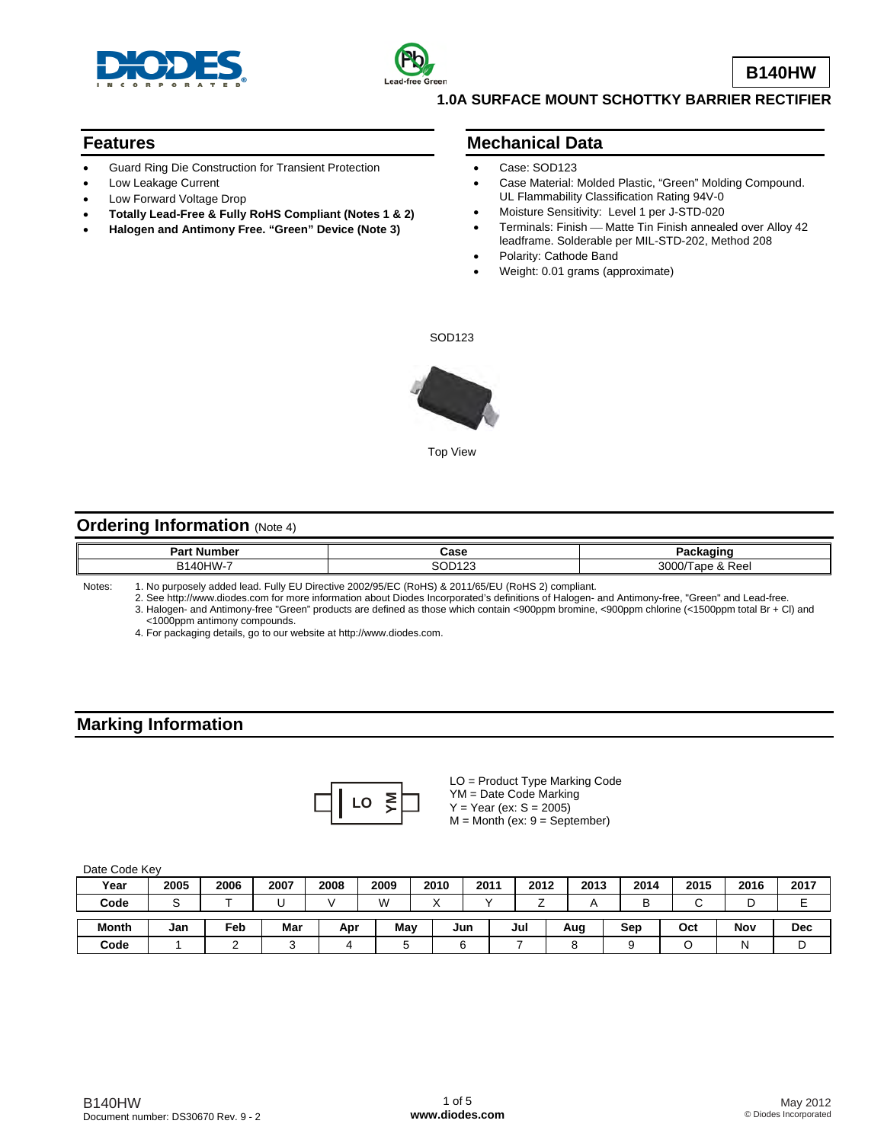



**B140HW**

#### **1.0A SURFACE MOUNT SCHOTTKY BARRIER RECTIFIER**

#### **Features**

- Guard Ring Die Construction for Transient Protection
- Low Leakage Current
- Low Forward Voltage Drop
- **Totally Lead-Free & Fully RoHS Compliant (Notes 1 & 2)**
- **Halogen and Antimony Free. "Green" Device (Note 3)**

#### **Mechanical Data**

- Case: SOD123
- Case Material: Molded Plastic, "Green" Molding Compound. UL Flammability Classification Rating 94V-0
- Moisture Sensitivity: Level 1 per J-STD-020
- Terminals: Finish Matte Tin Finish annealed over Alloy 42 leadframe. Solderable per MIL-STD-202, Method 208
- Polarity: Cathode Band
- Weight: 0.01 grams (approximate)

SOD123



Top View

#### **Ordering Information (Note 4)**

| $D0$ rt<br>umber<br>. Num<br>-aı     | Case  | <b><i>Constitution</i></b><br>.        |
|--------------------------------------|-------|----------------------------------------|
| HIM<br>$\sim$<br>D <sub>1</sub><br>້ | 00100 | 2000<br>Reel<br>an<br>וו ור.<br>$\sim$ |
|                                      |       |                                        |

Notes: 1. No purposely added lead. Fully EU Directive 2002/95/EC (RoHS) & 2011/65/EU (RoHS 2) compliant.

2. See [http://www.diodes.com fo](http://www.diodes.com)r more information about Diodes Incorporated's definitions of Halogen- and Antimony-free, "Green" and Lead-free.

3. Halogen- and Antimony-free "Green" products are defined as those which contain <900ppm bromine, <900ppm chlorine (<1500ppm total Br + Cl) and <1000ppm antimony compounds.

4. For packaging details, go to our website at [http://www.diodes.com.](http://www.diodes.com)

#### **Marking Information**



LO = Product Type Marking Code YM = Date Code Marking  $Y = Year (ex: S = 2005)$  $M =$  Month (ex:  $9 =$  September)

| Date Code Key |        |        |      |      |      |      |             |      |      |      |             |      |            |
|---------------|--------|--------|------|------|------|------|-------------|------|------|------|-------------|------|------------|
| Year          | 2005   | 2006   | 2007 | 2008 | 2009 | 2010 | 2011        | 2012 | 2013 | 2014 | 2015        | 2016 | 2017       |
| Code          | $\sim$ |        | U    |      | W    |      |             |      |      | B    | $\sim$<br>ີ |      | -          |
| <b>Month</b>  | Jan    | Feb    | Mar  | Apr  | May  |      | Jun         | Jul  | Aug  | Sep  | Oct         | Nov  | <b>Dec</b> |
| Code          |        | $\sim$ |      | 4    | 5    |      | $\sim$<br>6 |      |      |      |             | Ν    | ◡          |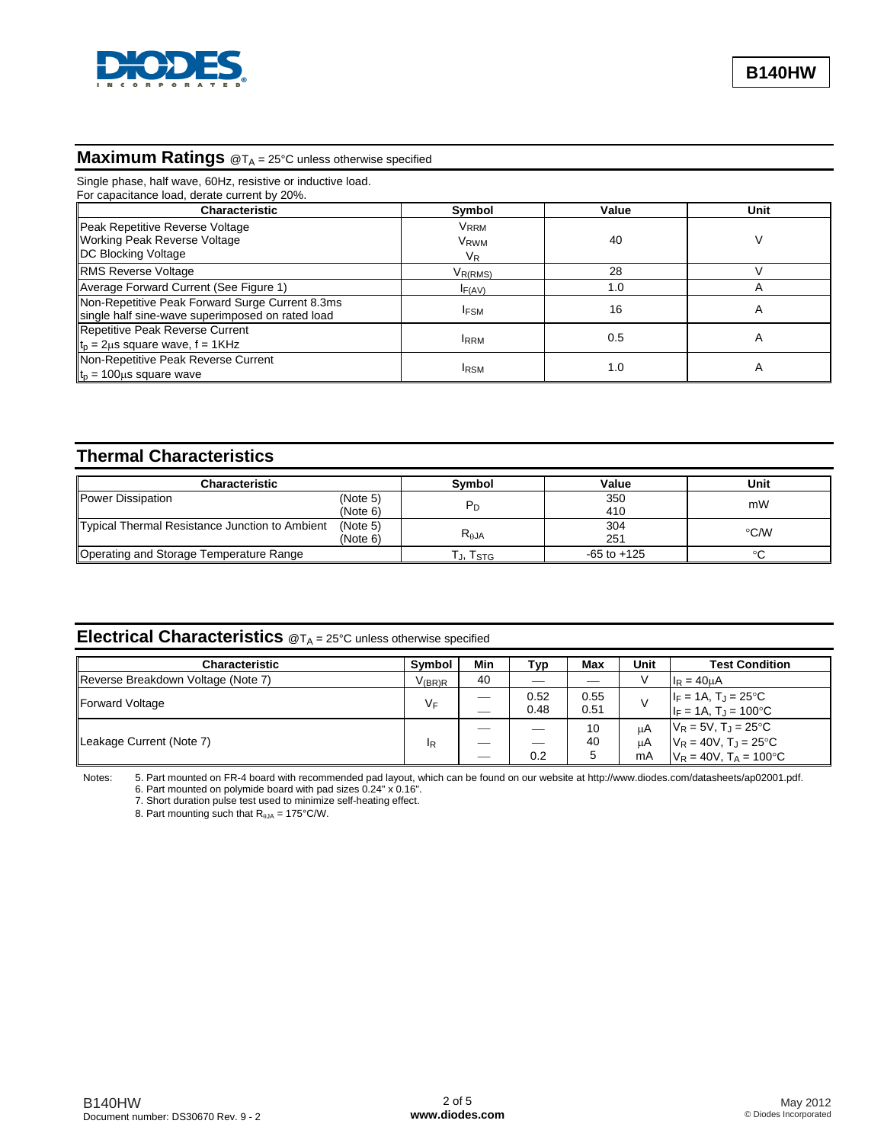

# **Maximum Ratings** @T<sub>A</sub> = 25°C unless otherwise specified

| Single phase, half wave, 60Hz, resistive or inductive load.<br>For capacitance load, derate current by 20%. |                                            |       |      |  |  |  |
|-------------------------------------------------------------------------------------------------------------|--------------------------------------------|-------|------|--|--|--|
| <b>Characteristic</b>                                                                                       | <b>Symbol</b>                              | Value | Unit |  |  |  |
| Peak Repetitive Reverse Voltage<br><b>Working Peak Reverse Voltage</b><br><b>IDC Blocking Voltage</b>       | <b>VRRM</b><br>V <sub>RWM</sub><br>$V_{R}$ | 40    | V    |  |  |  |
| <b>RMS Reverse Voltage</b>                                                                                  | $V_{R(RMS)}$                               | 28    |      |  |  |  |
| Average Forward Current (See Figure 1)                                                                      | IF(AV)                                     | 1.0   | A    |  |  |  |
| Non-Repetitive Peak Forward Surge Current 8.3ms<br>single half sine-wave superimposed on rated load         | <b>IFSM</b>                                | 16    | A    |  |  |  |
| Repetitive Peak Reverse Current<br>$t_p = 2\mu s$ square wave, $f = 1KHz$                                   | <b>IRRM</b>                                | 0.5   | A    |  |  |  |
| Non-Repetitive Peak Reverse Current<br>$t_p = 100 \mu s$ square wave                                        | <b>IRSM</b>                                | 1.0   | A    |  |  |  |

### **Thermal Characteristics**

| <b>Characteristic</b>                          | Symbol   | Value          | Unit            |        |
|------------------------------------------------|----------|----------------|-----------------|--------|
| Power Dissipation                              | (Note 5) |                | 350             | mW     |
|                                                | (Note 6) |                | 410             |        |
| Typical Thermal Resistance Junction to Ambient |          | 304            | °C/W            |        |
|                                                | (Note 6) | $R_{\theta$ JA | 251             |        |
| Operating and Storage Temperature Range        |          | J, ISTG        | $-65$ to $+125$ | $\sim$ |

### **Electrical Characteristics** @T<sub>A</sub> = 25°C unless otherwise specified

| <b>Characteristic</b>              | Symbol         | Min | Typ          | Max          | Unit     | <b>Test Condition</b>                                                 |
|------------------------------------|----------------|-----|--------------|--------------|----------|-----------------------------------------------------------------------|
| Reverse Breakdown Voltage (Note 7) | $V_{(BR)R}$    | 40  |              |              |          | $I_R = 40 \mu A$                                                      |
| Forward Voltage                    | $V_F$          | ___ | 0.52<br>0.48 | 0.55<br>0.51 |          | $ F = 1A, T_J = 25^{\circ}C$<br>$ F = 1A, T_J = 100^{\circ}C$         |
| Leakage Current (Note 7)           | <sup>I</sup> R |     |              | 10<br>40     | цA<br>uA | $V_R = 5V$ , $T_J = 25^{\circ}C$<br>$V_R = 40V$ , $T_J = 25^{\circ}C$ |
|                                    |                |     | 0.2          |              | mA       | $V_R = 40V$ , $T_A = 100^{\circ}C$                                    |

Notes: 5. Part mounted on FR-4 board with recommended pad layout, which can be found on our website at [http://www.diodes.com/datasheets/ap02001.pdf.](http://www.diodes.com/datasheets/ap02001.pdf) 

6. Part mounted on polymide board with pad sizes 0.24" x 0.16".

7. Short duration pulse test used to minimize self-heating effect.

8. Part mounting such that  $R_{\theta JA} = 175^{\circ}$ C/W.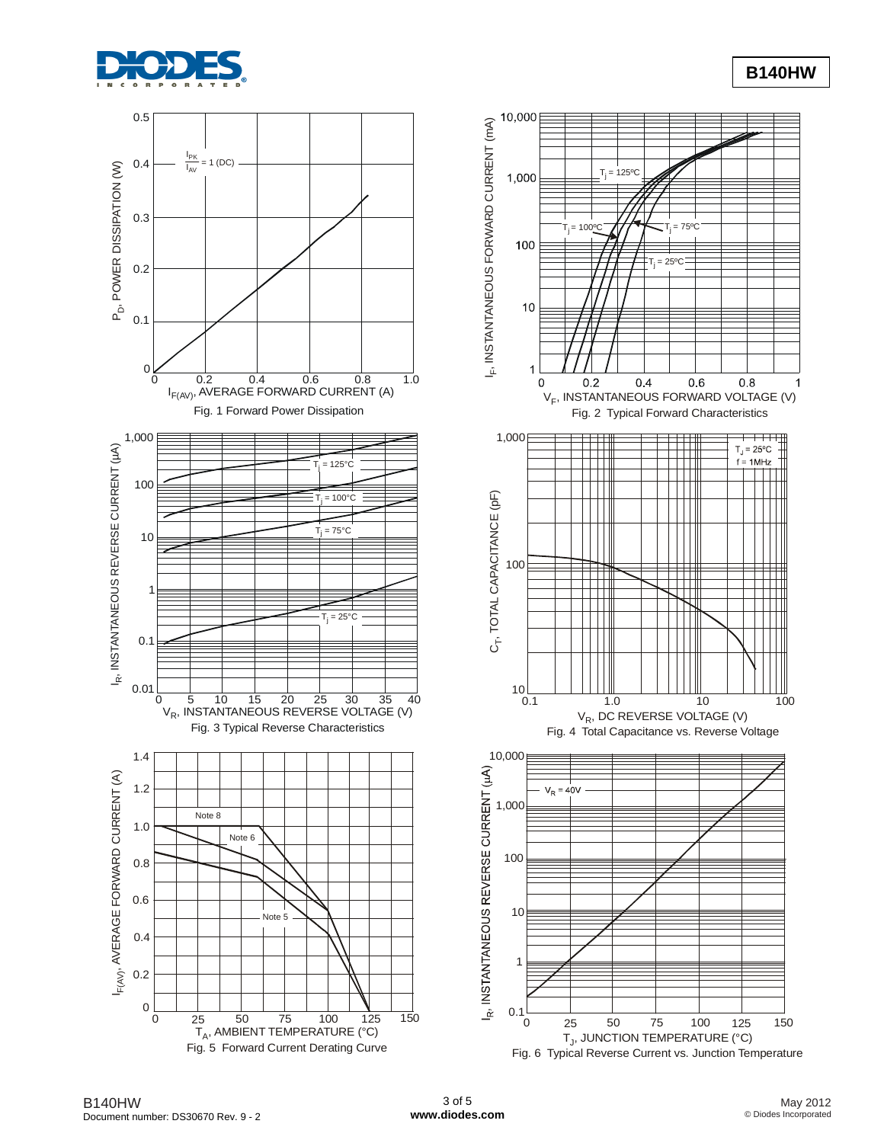





**B140HW**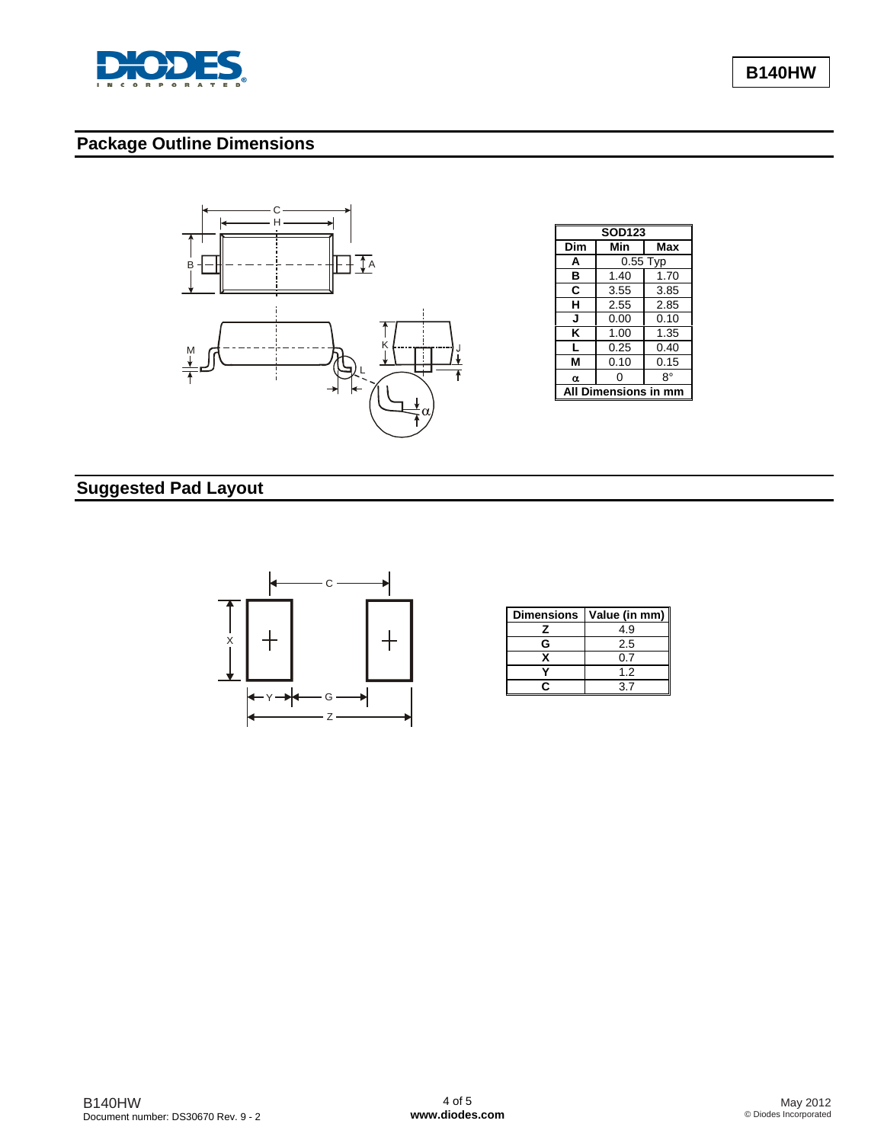

**B140HW**

## **Package Outline Dimensions**



| <b>SOD123</b>             |                   |      |  |  |  |  |
|---------------------------|-------------------|------|--|--|--|--|
| Dim                       | Min<br><b>Max</b> |      |  |  |  |  |
| A                         | $0.55$ Typ        |      |  |  |  |  |
| в                         | 1.40              | 1.70 |  |  |  |  |
| C                         | 3.55<br>3.85      |      |  |  |  |  |
| н                         | 2.85<br>2.55      |      |  |  |  |  |
| J                         | 0.00<br>0.10      |      |  |  |  |  |
| κ                         | 1.00<br>1.35      |      |  |  |  |  |
| L                         | 0.25<br>0.40      |      |  |  |  |  |
| М                         | 0.15<br>0.10      |      |  |  |  |  |
| α                         | ი                 | 8°   |  |  |  |  |
| <b>Dimensions in</b><br>A |                   |      |  |  |  |  |

## **Suggested Pad Layout**



|   | Dimensions   Value (in mm) |
|---|----------------------------|
|   | 4.9                        |
| G | 2.5                        |
|   | 0.7                        |
|   | 1.2                        |
|   |                            |